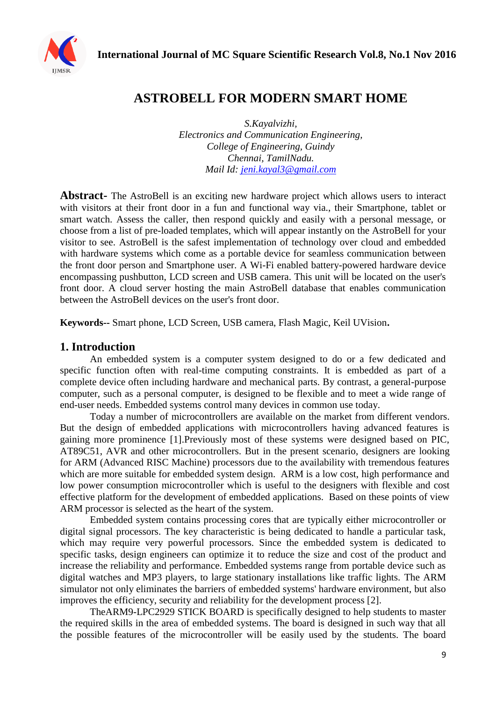**International Journal of MC Square Scientific Research Vol.8, No.1 Nov 2016**



## **ASTROBELL FOR MODERN SMART HOME**

*S.Kayalvizhi, Electronics and Communication Engineering, College of Engineering, Guindy Chennai, TamilNadu. Mail Id: [jeni.kayal3@gmail.com](mailto:jeni.kayal3@gmail.com)*

**Abstract-** The AstroBell is an exciting new hardware project which allows users to interact with visitors at their front door in a fun and functional way via., their Smartphone, tablet or smart watch. Assess the caller, then respond quickly and easily with a personal message, or choose from a list of pre-loaded templates, which will appear instantly on the AstroBell for your visitor to see. AstroBell is the safest implementation of technology over cloud and embedded with hardware systems which come as a portable device for seamless communication between the front door person and Smartphone user. A Wi-Fi enabled battery-powered hardware device encompassing pushbutton, LCD screen and USB camera. This unit will be located on the user's front door. A cloud server hosting the main AstroBell database that enables communication between the AstroBell devices on the user's front door.

**Keywords--** Smart phone, LCD Screen, USB camera, Flash Magic, Keil UVision**.**

#### **1. Introduction**

An embedded system is a computer system designed to do or a few dedicated and specific function often with real-time computing constraints. It is embedded as part of a complete device often including hardware and mechanical parts. By contrast, a general-purpose computer, such as a personal computer, is designed to be flexible and to meet a wide range of end-user needs. Embedded systems control many devices in common use today.

Today a number of microcontrollers are available on the market from different vendors. But the design of embedded applications with microcontrollers having advanced features is gaining more prominence [1].Previously most of these systems were designed based on PIC, AT89C51, AVR and other microcontrollers. But in the present scenario, designers are looking for ARM (Advanced RISC Machine) processors due to the availability with tremendous features which are more suitable for embedded system design. ARM is a low cost, high performance and low power consumption microcontroller which is useful to the designers with flexible and cost effective platform for the development of embedded applications. Based on these points of view ARM processor is selected as the heart of the system.

Embedded system contains processing cores that are typically either microcontroller or digital signal processors. The key characteristic is being dedicated to handle a particular task, which may require very powerful processors. Since the embedded system is dedicated to specific tasks, design engineers can optimize it to reduce the size and cost of the product and increase the reliability and performance. Embedded systems range from portable device such as digital watches and MP3 players, to large stationary installations like traffic lights. The ARM simulator not only eliminates the barriers of embedded systems' hardware environment, but also improves the efficiency, security and reliability for the development process [2].

TheARM9-LPC2929 STICK BOARD is specifically designed to help students to master the required skills in the area of embedded systems. The board is designed in such way that all the possible features of the microcontroller will be easily used by the students. The board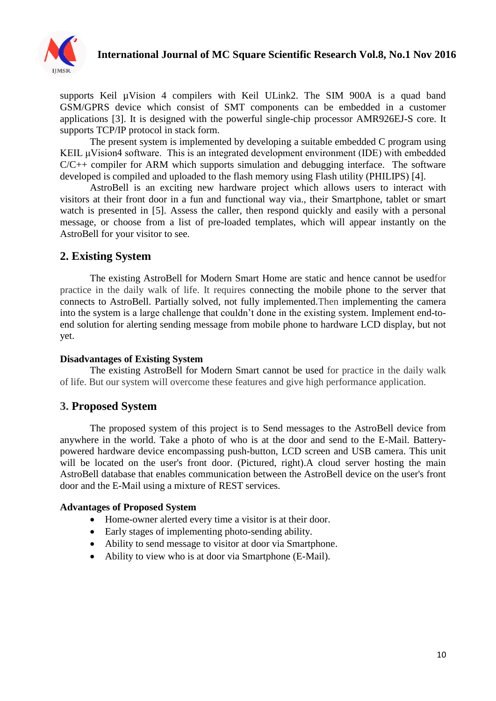

supports Keil µVision 4 compilers with Keil ULink2. The SIM 900A is a quad band GSM/GPRS device which consist of SMT components can be embedded in a customer applications [3]. It is designed with the powerful single-chip processor AMR926EJ-S core. It supports TCP/IP protocol in stack form.

The present system is implemented by developing a suitable embedded C program using KEIL μVision4 software. This is an integrated development environment (IDE) with embedded  $C/C++$  compiler for ARM which supports simulation and debugging interface. The software developed is compiled and uploaded to the flash memory using Flash utility (PHILIPS) [4].

AstroBell is an exciting new hardware project which allows users to interact with visitors at their front door in a fun and functional way via., their Smartphone, tablet or smart watch is presented in [5]. Assess the caller, then respond quickly and easily with a personal message, or choose from a list of pre-loaded templates, which will appear instantly on the AstroBell for your visitor to see.

## **2. Existing System**

The existing AstroBell for Modern Smart Home are static and hence cannot be usedfor practice in the daily walk of life. It requires connecting the mobile phone to the server that connects to AstroBell. Partially solved, not fully implemented.Then implementing the camera into the system is a large challenge that couldn't done in the existing system. Implement end-toend solution for alerting sending message from mobile phone to hardware LCD display, but not yet.

#### **Disadvantages of Existing System**

The existing AstroBell for Modern Smart cannot be used for practice in the daily walk of life. But our system will overcome these features and give high performance application.

#### **3. Proposed System**

The proposed system of this project is to Send messages to the AstroBell device from anywhere in the world. Take a photo of who is at the door and send to the E-Mail. Batterypowered hardware device encompassing push-button, LCD screen and USB camera. This unit will be located on the user's front door. (Pictured, right).A cloud server hosting the main AstroBell database that enables communication between the AstroBell device on the user's front door and the E-Mail using a mixture of REST services.

#### **Advantages of Proposed System**

- Home-owner alerted every time a visitor is at their door.
- Early stages of implementing photo-sending ability.
- Ability to send message to visitor at door via Smartphone.
- Ability to view who is at door via Smartphone (E-Mail).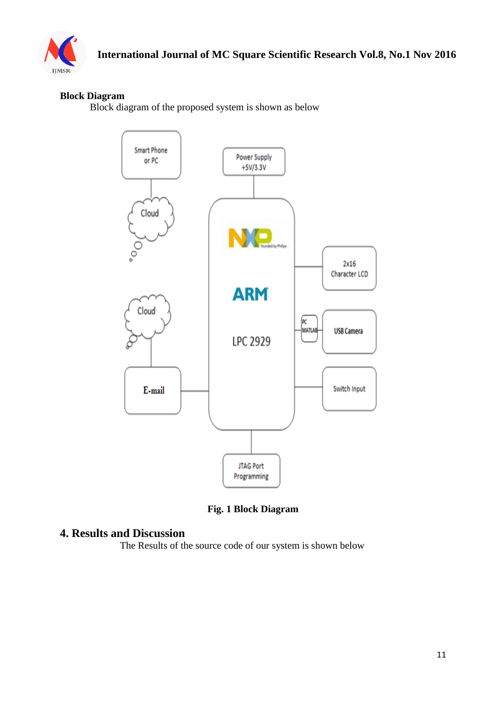

### **Block Diagram**

Block diagram of the proposed system is shown as below



**Fig. 1 Block Diagram**

#### **4. Results and Discussion**

The Results of the source code of our system is shown below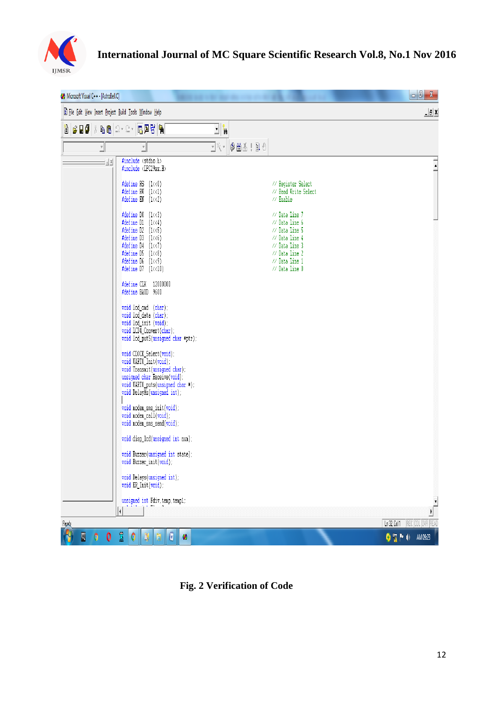

| COM Microsoft Visual C++ - [AstroBell.C]              |                                                                                                                                                                                                                                                                                                                           |                                                                                                                                                                    | $\overline{\phantom{a}}$ $\overline{\phantom{a}}$<br>$\mathbf{x}$ |  |
|-------------------------------------------------------|---------------------------------------------------------------------------------------------------------------------------------------------------------------------------------------------------------------------------------------------------------------------------------------------------------------------------|--------------------------------------------------------------------------------------------------------------------------------------------------------------------|-------------------------------------------------------------------|--|
| File Edit View Insert Project Build Tools Window Help |                                                                                                                                                                                                                                                                                                                           |                                                                                                                                                                    |                                                                   |  |
| ₩∥GBئ∦⊪®∣Ωт£т <mark>©®?</mark>                        |                                                                                                                                                                                                                                                                                                                           | $\overline{\mathbf{E}}$ ).                                                                                                                                         |                                                                   |  |
| $\overline{ }$                                        | $\overline{\phantom{a}}$                                                                                                                                                                                                                                                                                                  | $\mathbb{E}[\mathbb{R}^d \mid \mathbb{B} \otimes \mathbb{R}^d]$                                                                                                    |                                                                   |  |
| $\pm \underline{x}$                                   | #include <stdio.h><br/>#include <lpc29xx.h></lpc29xx.h></stdio.h>                                                                                                                                                                                                                                                         |                                                                                                                                                                    | $\frac{1}{\epsilon}$                                              |  |
|                                                       | #define RS $(1\langle 0 \rangle)$<br>#define RW<br>$(1\langle 1]$<br>#define EN<br>$(1\langle 2\rangle$                                                                                                                                                                                                                   | // Register Select<br>// Read Write Select<br>// Enable                                                                                                            |                                                                   |  |
|                                                       | $(1\langle \langle 3 \rangle$<br>#define DO<br>#define D1<br>$(1\langle 4]$<br>#define D2<br>$(1\langle 5]$<br>#define D3<br>$(1\langle 6)$<br>#define D4<br>$(1\langle \langle 7 \rangle)$<br>#define D5<br>$(1\langle 8\rangle)$<br>#define D6<br>$(1\langle \langle 9 \rangle$<br>#define D7<br>$(1\langle 10 \rangle$ | // Data Line 7<br>// Data Line 6<br>// Data Line 5<br>// Data Line 4<br>// Data Line 3<br>// Data Line 2<br>$\frac{1}{2}$ Data Line 1<br>$\frac{1}{2}$ Data Line 0 |                                                                   |  |
|                                                       | 12000000<br>#define CLK<br>#define BAUD 9600                                                                                                                                                                                                                                                                              |                                                                                                                                                                    |                                                                   |  |
|                                                       | void lod_ond (char);<br>void lod_data (char);<br>void lod_init (void);<br>void LCD4_Convert(char);<br>void lcd_putS(unsigned char *ptr);                                                                                                                                                                                  |                                                                                                                                                                    |                                                                   |  |
|                                                       | void CLOCK_Select(void);<br>void UARTO_Init(void);<br>void Transmit(unsigned char);<br>unsigned char Receive(void);<br>void UARTO_puts(unsigned char *);<br>void DelayMs(unsigned int);                                                                                                                                   |                                                                                                                                                                    |                                                                   |  |
|                                                       | void nodem_sms_init(void);<br>void noden_call(void);<br>void noden_sms_send(void);                                                                                                                                                                                                                                        |                                                                                                                                                                    |                                                                   |  |
|                                                       | void disp_lcd(unsigned int num);                                                                                                                                                                                                                                                                                          |                                                                                                                                                                    |                                                                   |  |
|                                                       | void Buzzer(unsigned int state);<br>void Buzzer_init(void);                                                                                                                                                                                                                                                               |                                                                                                                                                                    |                                                                   |  |
|                                                       | void Delays(unsigned int);<br>void ER_Init(void);                                                                                                                                                                                                                                                                         |                                                                                                                                                                    |                                                                   |  |
|                                                       | $\;$ unsigned int $\;$ Fdiv, temp, templ;                                                                                                                                                                                                                                                                                 |                                                                                                                                                                    | $\frac{1}{\sqrt{2}}$                                              |  |
| Ready                                                 | k                                                                                                                                                                                                                                                                                                                         |                                                                                                                                                                    | REC COL OVR READ<br>Ln 32, Col 1                                  |  |
| 0<br>$\overline{Q}$<br>0                              | S.<br>$\overline{\mathbb{F}}$<br>H<br>ø                                                                                                                                                                                                                                                                                   |                                                                                                                                                                    | $\bullet$ apple<br>AM 09:23                                       |  |

**Fig. 2 Verification of Code**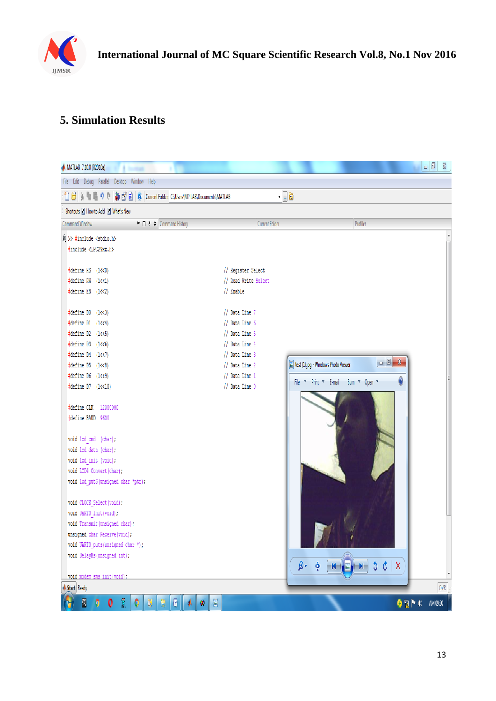

# **5. Simulation Results**

| MATLAB 7.10.0 (R2010a)                                                          |                      |                                                                                | $\Box$<br>$\Sigma$ |
|---------------------------------------------------------------------------------|----------------------|--------------------------------------------------------------------------------|--------------------|
| File Edit Debug Parallel Desktop Window Help                                    |                      |                                                                                |                    |
| 1 台   ※ ■ ■ 9 (*   4 百 台   9   Current Folder: C:\Users\MP LAB\Documents\MATLAB |                      | - 6è                                                                           |                    |
| Shortcuts 2 How to Add 2 What's New                                             |                      |                                                                                |                    |
| I← □ 7 X Command History<br>Command Window                                      | Current Folder       | Profiler                                                                       |                    |
| $f(x)$ >> #include <stdio.h></stdio.h>                                          |                      |                                                                                |                    |
| #include <lpc29xx.h></lpc29xx.h>                                                |                      |                                                                                |                    |
| $\frac{1}{2}$ define RS (1<<0)                                                  | // Register Select   |                                                                                |                    |
| $\frac{1}{2}$ define RW (1<<1)                                                  | // Read Write Select |                                                                                |                    |
| $\frac{4}{3}$ define EN (1<<2)                                                  | // Enable            |                                                                                |                    |
|                                                                                 |                      |                                                                                |                    |
| $\frac{1}{2}$ define D0 (1<<3)                                                  | // Data Line 7       |                                                                                |                    |
| $\frac{1}{2}$ define D1 (1<<4)                                                  | // Data Line 6       |                                                                                |                    |
| $\frac{1}{2}$ define D2 (1<<5)                                                  | // Data Line 5       |                                                                                |                    |
| $\frac{4}{3}$ define D3 (1<<6)                                                  | // Data Line 4       |                                                                                |                    |
| $\frac{1}{2}$ define D4 (1<<7)                                                  | // Data Line 3       | $\Box$<br>$\mathbf{x}$                                                         |                    |
| $\frac{1}{2}$ define D5 (1<<8)                                                  | // Data Line 2       | test (1),jpg - Windows Photo Viewer                                            |                    |
| $\frac{4}{3}$ define D6 (1<<9)                                                  | // Data Line 1       | $\boldsymbol{\theta}$<br>File v Print v E-mail Burn v Open v                   |                    |
| #define D7 (1<<10)                                                              | // Data Line 0       |                                                                                |                    |
| #define CLK 12000000                                                            |                      |                                                                                |                    |
| #define BAUD 9600                                                               |                      |                                                                                |                    |
|                                                                                 |                      |                                                                                |                    |
| void lod_cmd (char);                                                            |                      |                                                                                |                    |
| void lod_data (char);                                                           |                      |                                                                                |                    |
| void lod_init (void);                                                           |                      |                                                                                |                    |
| void LCD4_Convert(char);                                                        |                      |                                                                                |                    |
| void lcd putS (unsigned char *ptr);                                             |                      |                                                                                |                    |
|                                                                                 |                      |                                                                                |                    |
| void CLOCK_Select(void);                                                        |                      |                                                                                |                    |
| void UARTO_Init(void);<br>void Transmit (unsigned char);                        |                      |                                                                                |                    |
| unsigned char Receive (void);                                                   |                      |                                                                                |                    |
| void UARTO puts (unsigned char *);                                              |                      |                                                                                |                    |
| void DelayMs (unsigned int);                                                    |                      |                                                                                |                    |
|                                                                                 |                      | 5c<br>$\mathsf{X}$<br>D.<br>画<br>$\left\  \mathbf{R} \right\ $<br>$H_{\rm{b}}$ |                    |
| void modem sms init (void):                                                     |                      |                                                                                |                    |
| Start Ready                                                                     |                      |                                                                                | OWR                |
| R.<br>目<br>$\overline{Q}$<br>0<br>Ø<br>0<br>4<br>Ø                              |                      | $\bullet$ are $\bullet$                                                        | AM 09:30           |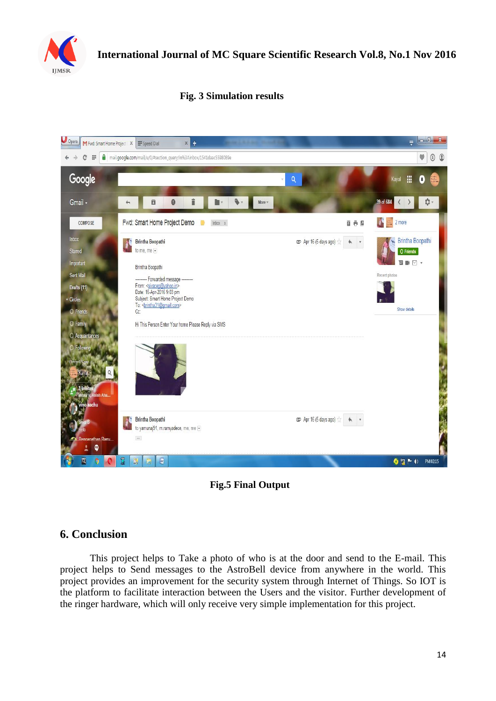

### **Fig. 3 Simulation results**





#### **6. Conclusion**

This project helps to Take a photo of who is at the door and send to the E-mail. This project helps to Send messages to the AstroBell device from anywhere in the world. This project provides an improvement for the security system through Internet of Things. So IOT is the platform to facilitate interaction between the Users and the visitor. Further development of the ringer hardware, which will only receive very simple implementation for this project.